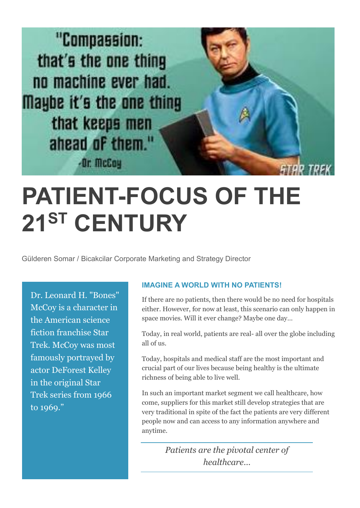

## **PATIENT-FOCUS OF THE 21ST CENTURY**

Gülderen Somar / Bicakcilar Corporate Marketing and Strategy Director

Dr. Leonard H. "Bones" McCoy is a character in the American science fiction franchise Star Trek. McCoy was most famously portrayed by actor DeForest Kelley in the original Star Trek series from 1966 to 1969."

## **IMAGINE A WORLD WITH NO PATIENTS!**

If there are no patients, then there would be no need for hospitals either. However, for now at least, this scenario can only happen in space movies. Will it ever change? Maybe one day…

Today, in real world, patients are real- all over the globe including all of us.

Today, hospitals and medical staff are the most important and crucial part of our lives because being healthy is the ultimate richness of being able to live well.

In such an important market segment we call healthcare, how come, suppliers for this market still develop strategies that are very traditional in spite of the fact the patients are very different people now and can access to any information anywhere and anytime.

> *Patients are the pivotal center of healthcare…*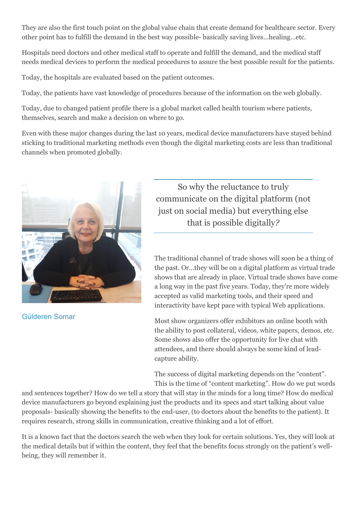They are also the first touch point on the global value chain that create demand for healthcare sector. Every other point has to fulfill the demand in the best way possible- basically saving lives…healing…etc.

Hospitals need doctors and other medical staff to operate and fulfill the demand, and the medical staff needs medical devices to perform the medical procedures to assure the best possible result for the patients.

Today, the hospitals are evaluated based on the patient outcomes.

Today, the patients have vast knowledge of procedures because of the information on the web globally.

Today, due to changed patient profile there is a global market called health tourism where patients, themselves, search and make a decision on where to go.

Even with these major changes during the last 10 years, medical device manufacturers have stayed behind sticking to traditional marketing methods even though the digital marketing costs are less than traditional channels when promoted globally.



Gülderen Somar

So why the reluctance to truly communicate on the digital platform (not just on social media) but everything else that is possible digitally*?*

The traditional channel of trade shows will soon be a thing of the past. Or…they will be on a digital platform as virtual trade shows that are already in place. Virtual trade shows have come a long way in the past five years. Today, they're more widely accepted as valid marketing tools, and their speed and interactivity have kept pace with typical Web applications.

Most show organizers offer exhibitors an online booth with the ability to post collateral, videos, white papers, demos, etc. Some shows also offer the opportunity for live chat with attendees, and there should always be some kind of leadcapture ability.

The success of digital marketing depends on the "content". This is the time of "content marketing". How do we put words

and sentences together? How do we tell a story that will stay in the minds for a long time? How do medical device manufacturers go beyond explaining just the products and its specs and start talking about value proposals- basically showing the benefits to the end-user, (to doctors about the benefits to the patient). It requires research, strong skills in communication, creative thinking and a lot of effort.

It is a known fact that the doctors search the web when they look for certain solutions. Yes, they will look at the medical details but if within the content, they feel that the benefits focus strongly on the patient's wellbeing, they will remember it.